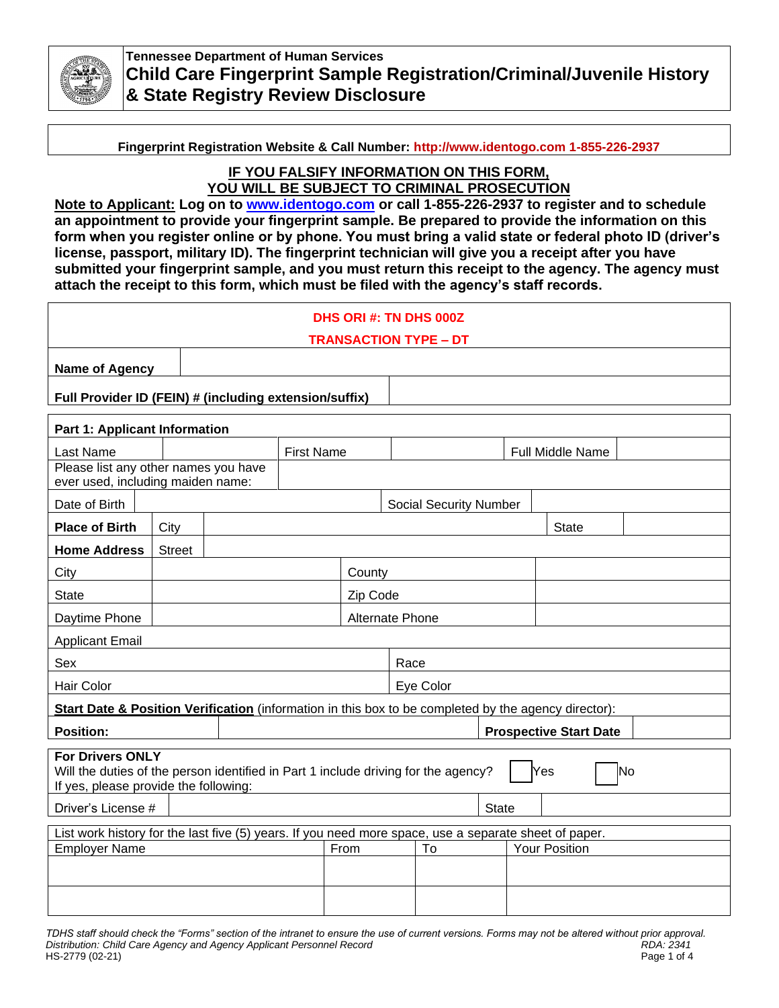

**Tennessee Department of Human Services Child Care Fingerprint Sample Registration/Criminal/Juvenile History & State Registry Review Disclosure**

**Fingerprint Registration Website & Call Number: http://www.identogo.com 1-855-226-2937**

# **IF YOU FALSIFY INFORMATION ON THIS FORM, YOU WILL BE SUBJECT TO CRIMINAL PROSECUTION**

**Note to Applicant: Log on to [www.identogo.com](file:///C:/Users/de01jek/Documents/Child%20Care%20Licensing/www.identogo.com) or call 1-855-226-2937 to register and to schedule an appointment to provide your fingerprint sample. Be prepared to provide the information on this form when you register online or by phone. You must bring a valid state or federal photo ID (driver's license, passport, military ID). The fingerprint technician will give you a receipt after you have submitted your fingerprint sample, and you must return this receipt to the agency. The agency must attach the receipt to this form, which must be filed with the agency's staff records.**

| DHS ORI #: TN DHS 000Z                                                                                                                                              |                               |  |       |    |              |                                                 |  |                                          |
|---------------------------------------------------------------------------------------------------------------------------------------------------------------------|-------------------------------|--|-------|----|--------------|-------------------------------------------------|--|------------------------------------------|
|                                                                                                                                                                     |                               |  |       |    |              |                                                 |  |                                          |
|                                                                                                                                                                     |                               |  |       |    |              |                                                 |  |                                          |
| Full Provider ID (FEIN) # (including extension/suffix)                                                                                                              |                               |  |       |    |              |                                                 |  |                                          |
| <b>Part 1: Applicant Information</b>                                                                                                                                |                               |  |       |    |              |                                                 |  |                                          |
|                                                                                                                                                                     | <b>First Name</b>             |  |       |    |              |                                                 |  |                                          |
| Please list any other names you have<br>ever used, including maiden name:                                                                                           |                               |  |       |    |              |                                                 |  |                                          |
|                                                                                                                                                                     | <b>Social Security Number</b> |  |       |    |              |                                                 |  |                                          |
| City                                                                                                                                                                |                               |  |       |    | <b>State</b> |                                                 |  |                                          |
| <b>Street</b>                                                                                                                                                       |                               |  |       |    |              |                                                 |  |                                          |
| County                                                                                                                                                              |                               |  |       |    |              |                                                 |  |                                          |
|                                                                                                                                                                     | Zip Code                      |  |       |    |              |                                                 |  |                                          |
|                                                                                                                                                                     |                               |  |       |    |              |                                                 |  |                                          |
| <b>Applicant Email</b>                                                                                                                                              |                               |  |       |    |              |                                                 |  |                                          |
| Sex<br>Race                                                                                                                                                         |                               |  |       |    |              |                                                 |  |                                          |
| Hair Color<br>Eye Color                                                                                                                                             |                               |  |       |    |              |                                                 |  |                                          |
| Start Date & Position Verification (information in this box to be completed by the agency director):                                                                |                               |  |       |    |              |                                                 |  |                                          |
| <b>Position:</b><br><b>Prospective Start Date</b>                                                                                                                   |                               |  |       |    |              |                                                 |  |                                          |
| <b>For Drivers ONLY</b><br>Will the duties of the person identified in Part 1 include driving for the agency?<br>No<br>Yes<br>If yes, please provide the following: |                               |  |       |    |              |                                                 |  |                                          |
| Driver's License #                                                                                                                                                  |                               |  | State |    |              |                                                 |  |                                          |
| List work history for the last five (5) years. If you need more space, use a separate sheet of paper.                                                               |                               |  |       |    |              |                                                 |  |                                          |
| <b>Employer Name</b><br>From                                                                                                                                        |                               |  |       | То |              |                                                 |  |                                          |
|                                                                                                                                                                     |                               |  |       |    |              |                                                 |  |                                          |
|                                                                                                                                                                     |                               |  |       |    |              |                                                 |  |                                          |
|                                                                                                                                                                     | <b>Name of Agency</b>         |  |       |    |              | <b>TRANSACTION TYPE - DT</b><br>Alternate Phone |  | Full Middle Name<br><b>Your Position</b> |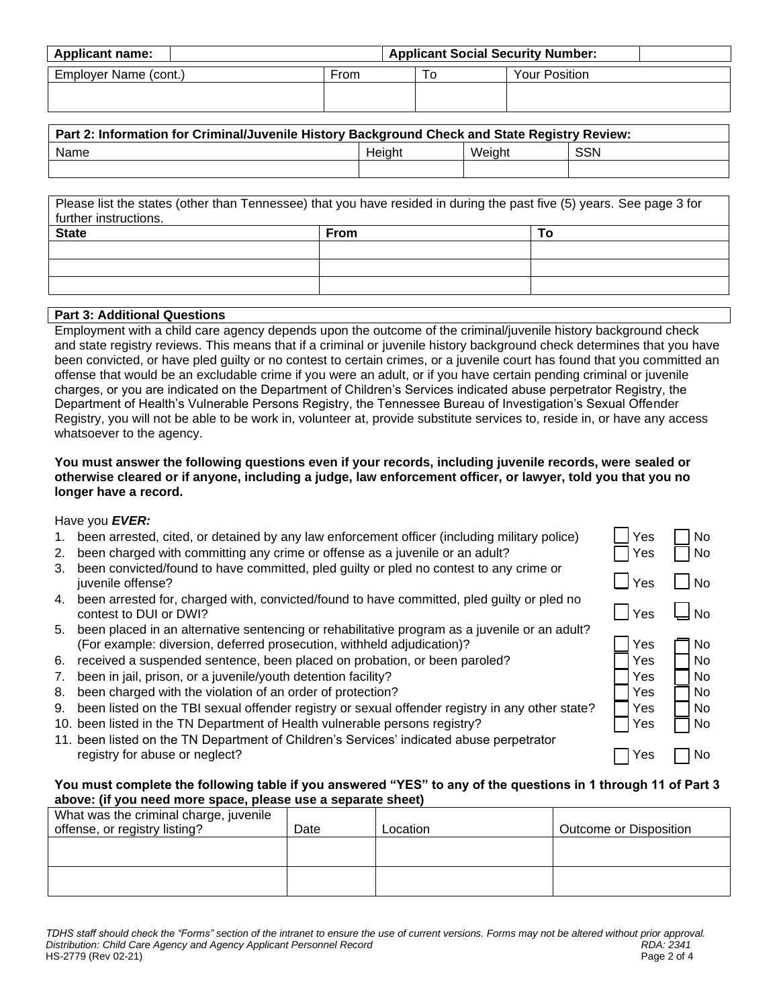| <b>Applicant name:</b> | <b>Applicant Social Security Number:</b> |    |               |  |  |
|------------------------|------------------------------------------|----|---------------|--|--|
| Employer Name (cont.)  | From                                     | 10 | Your Position |  |  |
|                        |                                          |    |               |  |  |

| Part 2: Information for Criminal/Juvenile History Background Check and State Registry Review: |        |        |     |  |  |
|-----------------------------------------------------------------------------------------------|--------|--------|-----|--|--|
| Name                                                                                          | Height | Weight | SSN |  |  |
|                                                                                               |        |        |     |  |  |
|                                                                                               |        |        |     |  |  |

| Please list the states (other than Tennessee) that you have resided in during the past five (5) years. See page 3 for |             |    |  |  |  |
|-----------------------------------------------------------------------------------------------------------------------|-------------|----|--|--|--|
| further instructions.                                                                                                 |             |    |  |  |  |
| <b>State</b>                                                                                                          | <b>From</b> | Ιo |  |  |  |
|                                                                                                                       |             |    |  |  |  |
|                                                                                                                       |             |    |  |  |  |
|                                                                                                                       |             |    |  |  |  |

# **Part 3: Additional Questions**

Employment with a child care agency depends upon the outcome of the criminal/juvenile history background check and state registry reviews. This means that if a criminal or juvenile history background check determines that you have been convicted, or have pled guilty or no contest to certain crimes, or a juvenile court has found that you committed an offense that would be an excludable crime if you were an adult, or if you have certain pending criminal or juvenile charges, or you are indicated on the Department of Children's Services indicated abuse perpetrator Registry, the Department of Health's Vulnerable Persons Registry, the Tennessee Bureau of Investigation's Sexual Offender Registry, you will not be able to be work in, volunteer at, provide substitute services to, reside in, or have any access whatsoever to the agency.

### **You must answer the following questions even if your records, including juvenile records, were sealed or otherwise cleared or if anyone, including a judge, law enforcement officer, or lawyer, told you that you no longer have a record.**

#### Have you *EVER:*

- 1. been arrested, cited, or detained by any law enforcement officer (including military police)
- 2. been charged with committing any crime or offense as a juvenile or an adult?
- 3. been convicted/found to have committed, pled guilty or pled no contest to any crime or juvenile offense?
- 4. been arrested for, charged with, convicted/found to have committed, pled guilty or pled no contest to DUI or DWI?
- 5. been placed in an alternative sentencing or rehabilitative program as a juvenile or an adult? (For example: diversion, deferred prosecution, withheld adjudication)?
- 6. received a suspended sentence, been placed on probation, or been paroled?
- 7. been in jail, prison, or a juvenile/youth detention facility?
- 8. been charged with the violation of an order of protection?
- 9. been listed on the TBI sexual offender registry or sexual offender registry in any other state?
- 10. been listed in the TN Department of Health vulnerable persons registry?
- 11. been listed on the TN Department of Children's Services' indicated abuse perpetrator registry for abuse or neglect?

#### **You must complete the following table if you answered "YES" to any of the questions in 1 through 11 of Part 3 above: (if you need more space, please use a separate sheet)**

| What was the criminal charge, juvenile<br>offense, or registry listing? | Date | Location | Outcome or Disposition |
|-------------------------------------------------------------------------|------|----------|------------------------|
|                                                                         |      |          |                        |
|                                                                         |      |          |                        |

| Yes<br>Yes                             | No<br>No                         |
|----------------------------------------|----------------------------------|
| l Yes                                  | <b>No</b>                        |
| I Yes                                  | <b>No</b>                        |
| Yes<br>Yes<br>Yes<br>Yes<br>Yes<br>Yes | No<br>No<br>No<br>No<br>No<br>No |
| Yes                                    | l٥                               |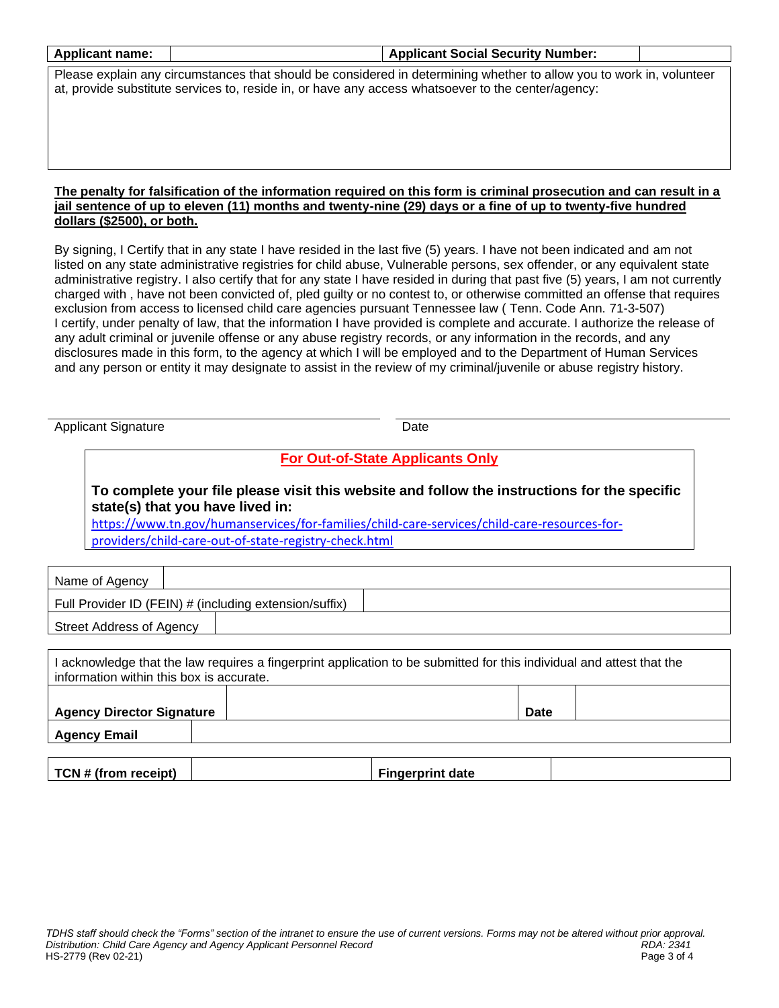| <b>Applicant name:</b>                                                                                                |                                                                                                                                                                                                                                                             | <b>Applicant Social Security Number:</b> |  |  |  |  |
|-----------------------------------------------------------------------------------------------------------------------|-------------------------------------------------------------------------------------------------------------------------------------------------------------------------------------------------------------------------------------------------------------|------------------------------------------|--|--|--|--|
| Please explain any circumstances that should be considered in determining whether to allow you to work in, volunteer  |                                                                                                                                                                                                                                                             |                                          |  |  |  |  |
| at, provide substitute services to, reside in, or have any access whatsoever to the center/agency:                    |                                                                                                                                                                                                                                                             |                                          |  |  |  |  |
|                                                                                                                       |                                                                                                                                                                                                                                                             |                                          |  |  |  |  |
|                                                                                                                       |                                                                                                                                                                                                                                                             |                                          |  |  |  |  |
|                                                                                                                       |                                                                                                                                                                                                                                                             |                                          |  |  |  |  |
|                                                                                                                       |                                                                                                                                                                                                                                                             |                                          |  |  |  |  |
|                                                                                                                       | The penalty for falsification of the information required on this form is criminal prosecution and can result in a                                                                                                                                          |                                          |  |  |  |  |
|                                                                                                                       | jail sentence of up to eleven (11) months and twenty-nine (29) days or a fine of up to twenty-five hundred                                                                                                                                                  |                                          |  |  |  |  |
| dollars (\$2500), or both.                                                                                            |                                                                                                                                                                                                                                                             |                                          |  |  |  |  |
|                                                                                                                       | By signing, I Certify that in any state I have resided in the last five (5) years. I have not been indicated and am not                                                                                                                                     |                                          |  |  |  |  |
|                                                                                                                       | listed on any state administrative registries for child abuse, Vulnerable persons, sex offender, or any equivalent state                                                                                                                                    |                                          |  |  |  |  |
|                                                                                                                       | administrative registry. I also certify that for any state I have resided in during that past five (5) years, I am not currently<br>charged with, have not been convicted of, pled guilty or no contest to, or otherwise committed an offense that requires |                                          |  |  |  |  |
|                                                                                                                       | exclusion from access to licensed child care agencies pursuant Tennessee law (Tenn. Code Ann. 71-3-507)                                                                                                                                                     |                                          |  |  |  |  |
|                                                                                                                       | I certify, under penalty of law, that the information I have provided is complete and accurate. I authorize the release of                                                                                                                                  |                                          |  |  |  |  |
|                                                                                                                       | any adult criminal or juvenile offense or any abuse registry records, or any information in the records, and any                                                                                                                                            |                                          |  |  |  |  |
|                                                                                                                       | disclosures made in this form, to the agency at which I will be employed and to the Department of Human Services<br>and any person or entity it may designate to assist in the review of my criminal/juvenile or abuse registry history.                    |                                          |  |  |  |  |
|                                                                                                                       |                                                                                                                                                                                                                                                             |                                          |  |  |  |  |
|                                                                                                                       |                                                                                                                                                                                                                                                             |                                          |  |  |  |  |
| <b>Applicant Signature</b>                                                                                            |                                                                                                                                                                                                                                                             | Date                                     |  |  |  |  |
|                                                                                                                       |                                                                                                                                                                                                                                                             |                                          |  |  |  |  |
|                                                                                                                       |                                                                                                                                                                                                                                                             | <b>For Out-of-State Applicants Only</b>  |  |  |  |  |
|                                                                                                                       | To complete your file please visit this website and follow the instructions for the specific                                                                                                                                                                |                                          |  |  |  |  |
|                                                                                                                       | state(s) that you have lived in:                                                                                                                                                                                                                            |                                          |  |  |  |  |
|                                                                                                                       | https://www.tn.gov/humanservices/for-families/child-care-services/child-care-resources-for-                                                                                                                                                                 |                                          |  |  |  |  |
| providers/child-care-out-of-state-registry-check.html                                                                 |                                                                                                                                                                                                                                                             |                                          |  |  |  |  |
|                                                                                                                       |                                                                                                                                                                                                                                                             |                                          |  |  |  |  |
| Name of Agency                                                                                                        |                                                                                                                                                                                                                                                             |                                          |  |  |  |  |
| Full Provider ID (FEIN) # (including extension/suffix)                                                                |                                                                                                                                                                                                                                                             |                                          |  |  |  |  |
| <b>Street Address of Agency</b>                                                                                       |                                                                                                                                                                                                                                                             |                                          |  |  |  |  |
|                                                                                                                       |                                                                                                                                                                                                                                                             |                                          |  |  |  |  |
| I acknowledge that the law requires a fingerprint application to be submitted for this individual and attest that the |                                                                                                                                                                                                                                                             |                                          |  |  |  |  |
| information within this box is accurate.                                                                              |                                                                                                                                                                                                                                                             |                                          |  |  |  |  |
|                                                                                                                       |                                                                                                                                                                                                                                                             |                                          |  |  |  |  |
|                                                                                                                       | <b>Agency Director Signature</b><br><b>Date</b>                                                                                                                                                                                                             |                                          |  |  |  |  |
| <b>Agency Email</b>                                                                                                   |                                                                                                                                                                                                                                                             |                                          |  |  |  |  |
|                                                                                                                       |                                                                                                                                                                                                                                                             |                                          |  |  |  |  |
| TCN # (from receipt)                                                                                                  |                                                                                                                                                                                                                                                             | <b>Fingerprint date</b>                  |  |  |  |  |